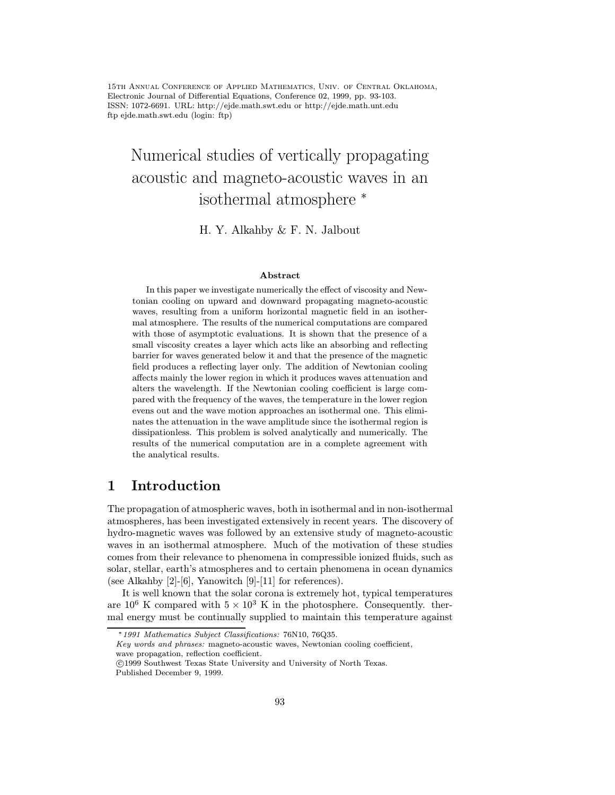15th Annual Conference of Applied Mathematics, Univ. of Central Oklahoma, Electronic Journal of Differential Equations, Conference 02, 1999, pp. 93-103. ISSN: 1072-6691. URL: http://ejde.math.swt.edu or http://ejde.math.unt.edu ftp ejde.math.swt.edu (login: ftp)

# Numerical studies of vertically propagating acoustic and magneto-acoustic waves in an isothermal atmosphere <sup>∗</sup>

H. Y. Alkahby & F. N. Jalbout

#### Abstract

In this paper we investigate numerically the effect of viscosity and Newtonian cooling on upward and downward propagating magneto-acoustic waves, resulting from a uniform horizontal magnetic field in an isothermal atmosphere. The results of the numerical computations are compared with those of asymptotic evaluations. It is shown that the presence of a small viscosity creates a layer which acts like an absorbing and reflecting barrier for waves generated below it and that the presence of the magnetic field produces a reflecting layer only. The addition of Newtonian cooling affects mainly the lower region in which it produces waves attenuation and alters the wavelength. If the Newtonian cooling coefficient is large compared with the frequency of the waves, the temperature in the lower region evens out and the wave motion approaches an isothermal one. This eliminates the attenuation in the wave amplitude since the isothermal region is dissipationless. This problem is solved analytically and numerically. The results of the numerical computation are in a complete agreement with the analytical results.

### 1 Introduction

The propagation of atmospheric waves, both in isothermal and in non-isothermal atmospheres, has been investigated extensively in recent years. The discovery of hydro-magnetic waves was followed by an extensive study of magneto-acoustic waves in an isothermal atmosphere. Much of the motivation of these studies comes from their relevance to phenomena in compressible ionized fluids, such as solar, stellar, earth's atmospheres and to certain phenomena in ocean dynamics (see Alkahby  $[2]$ - $[6]$ , Yanowitch  $[9]$ - $[11]$  for references).

It is well known that the solar corona is extremely hot, typical temperatures are  $10^6$  K compared with  $5 \times 10^3$  K in the photosphere. Consequently. thermal energy must be continually supplied to maintain this temperature against

Key words and phrases: magneto-acoustic waves, Newtonian cooling coefficient, wave propagation, reflection coefficient.

<sup>∗</sup>1991 Mathematics Subject Classifications: 76N10, 76Q35.

c 1999 Southwest Texas State University and University of North Texas.

Published December 9, 1999.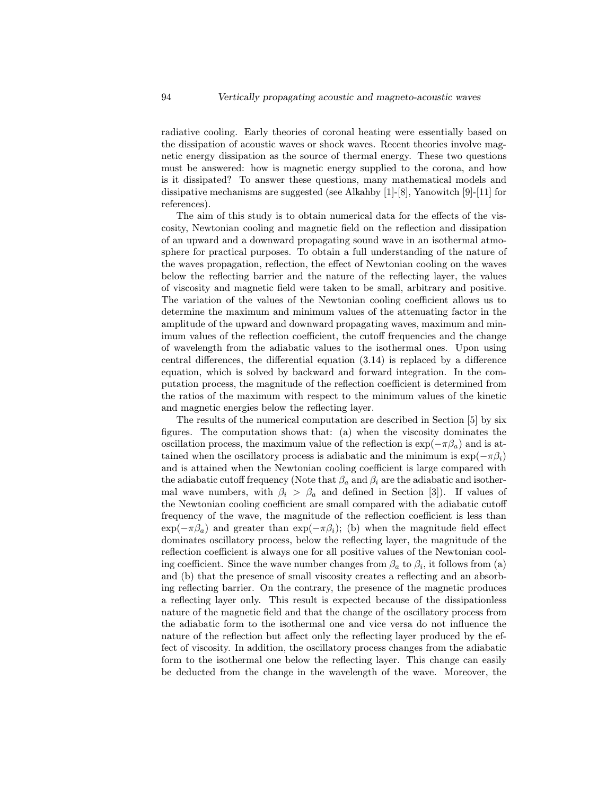radiative cooling. Early theories of coronal heating were essentially based on the dissipation of acoustic waves or shock waves. Recent theories involve magnetic energy dissipation as the source of thermal energy. These two questions must be answered: how is magnetic energy supplied to the corona, and how is it dissipated? To answer these questions, many mathematical models and dissipative mechanisms are suggested (see Alkahby [1]-[8], Yanowitch [9]-[11] for references).

The aim of this study is to obtain numerical data for the effects of the viscosity, Newtonian cooling and magnetic field on the reflection and dissipation of an upward and a downward propagating sound wave in an isothermal atmosphere for practical purposes. To obtain a full understanding of the nature of the waves propagation, reflection, the effect of Newtonian cooling on the waves below the reflecting barrier and the nature of the reflecting layer, the values of viscosity and magnetic field were taken to be small, arbitrary and positive. The variation of the values of the Newtonian cooling coefficient allows us to determine the maximum and minimum values of the attenuating factor in the amplitude of the upward and downward propagating waves, maximum and minimum values of the reflection coefficient, the cutoff frequencies and the change of wavelength from the adiabatic values to the isothermal ones. Upon using central differences, the differential equation (3.14) is replaced by a difference equation, which is solved by backward and forward integration. In the computation process, the magnitude of the reflection coefficient is determined from the ratios of the maximum with respect to the minimum values of the kinetic and magnetic energies below the reflecting layer.

The results of the numerical computation are described in Section [5] by six figures. The computation shows that: (a) when the viscosity dominates the oscillation process, the maximum value of the reflection is  $\exp(-\pi \beta_a)$  and is attained when the oscillatory process is adiabatic and the minimum is  $\exp(-\pi \beta_i)$ and is attained when the Newtonian cooling coefficient is large compared with the adiabatic cutoff frequency (Note that  $\beta_a$  and  $\beta_i$  are the adiabatic and isothermal wave numbers, with  $\beta_i > \beta_a$  and defined in Section [3]). If values of the Newtonian cooling coefficient are small compared with the adiabatic cutoff frequency of the wave, the magnitude of the reflection coefficient is less than  $\exp(-\pi \beta_a)$  and greater than  $\exp(-\pi \beta_i)$ ; (b) when the magnitude field effect dominates oscillatory process, below the reflecting layer, the magnitude of the reflection coefficient is always one for all positive values of the Newtonian cooling coefficient. Since the wave number changes from  $\beta_a$  to  $\beta_i$ , it follows from (a) and (b) that the presence of small viscosity creates a reflecting and an absorbing reflecting barrier. On the contrary, the presence of the magnetic produces a reflecting layer only. This result is expected because of the dissipationless nature of the magnetic field and that the change of the oscillatory process from the adiabatic form to the isothermal one and vice versa do not influence the nature of the reflection but affect only the reflecting layer produced by the effect of viscosity. In addition, the oscillatory process changes from the adiabatic form to the isothermal one below the reflecting layer. This change can easily be deducted from the change in the wavelength of the wave. Moreover, the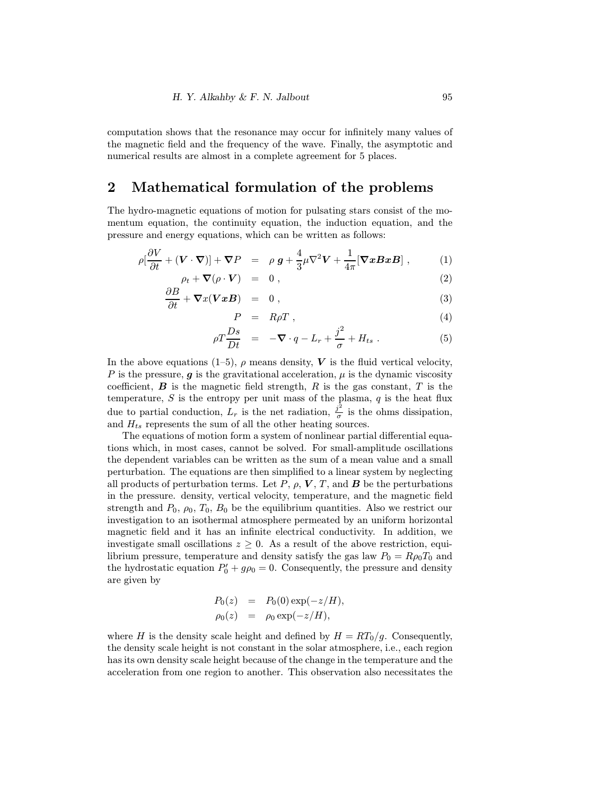computation shows that the resonance may occur for infinitely many values of the magnetic field and the frequency of the wave. Finally, the asymptotic and numerical results are almost in a complete agreement for 5 places.

#### 2 Mathematical formulation of the problems

The hydro-magnetic equations of motion for pulsating stars consist of the momentum equation, the continuity equation, the induction equation, and the pressure and energy equations, which can be written as follows:

$$
\rho[\frac{\partial V}{\partial t} + (\mathbf{V} \cdot \nabla)] + \nabla P = \rho \, \mathbf{g} + \frac{4}{3} \mu \nabla^2 \mathbf{V} + \frac{1}{4\pi} [\nabla \mathbf{x} \mathbf{B} \mathbf{x} \mathbf{B}], \tag{1}
$$

$$
\rho_t + \nabla (\rho \cdot \mathbf{V}) = 0 , \qquad (2)
$$

$$
\frac{\partial D}{\partial t} + \nabla x(\mathbf{V} \mathbf{x} \mathbf{B}) = 0, \qquad (3)
$$

$$
P = R\rho T \t{,} \t(4)
$$

$$
\rho T \frac{Ds}{Dt} = -\nabla \cdot q - L_r + \frac{j^2}{\sigma} + H_{ts} . \tag{5}
$$

In the above equations (1–5),  $\rho$  means density, V is the fluid vertical velocity, P is the pressure,  $g$  is the gravitational acceleration,  $\mu$  is the dynamic viscosity coefficient,  $\boldsymbol{B}$  is the magnetic field strength,  $R$  is the gas constant,  $T$  is the temperature,  $S$  is the entropy per unit mass of the plasma,  $q$  is the heat flux due to partial conduction,  $L_r$  is the net radiation,  $\frac{j^2}{\sigma}$  is the ohms dissipation, and  $H_{ts}$  represents the sum of all the other heating sources.

The equations of motion form a system of nonlinear partial differential equations which, in most cases, cannot be solved. For small-amplitude oscillations the dependent variables can be written as the sum of a mean value and a small perturbation. The equations are then simplified to a linear system by neglecting all products of perturbation terms. Let P,  $\rho$ , V, T, and B be the perturbations in the pressure. density, vertical velocity, temperature, and the magnetic field strength and  $P_0$ ,  $\rho_0$ ,  $T_0$ ,  $B_0$  be the equilibrium quantities. Also we restrict our investigation to an isothermal atmosphere permeated by an uniform horizontal magnetic field and it has an infinite electrical conductivity. In addition, we investigate small oscillations  $z \geq 0$ . As a result of the above restriction, equilibrium pressure, temperature and density satisfy the gas law  $P_0 = R\rho_0T_0$  and the hydrostatic equation  $P'_0 + g\rho_0 = 0$ . Consequently, the pressure and density are given by

$$
P_0(z) = P_0(0) \exp(-z/H),
$$
  
\n
$$
\rho_0(z) = \rho_0 \exp(-z/H),
$$

where H is the density scale height and defined by  $H = RT_0/g$ . Consequently, the density scale height is not constant in the solar atmosphere, i.e., each region has its own density scale height because of the change in the temperature and the acceleration from one region to another. This observation also necessitates the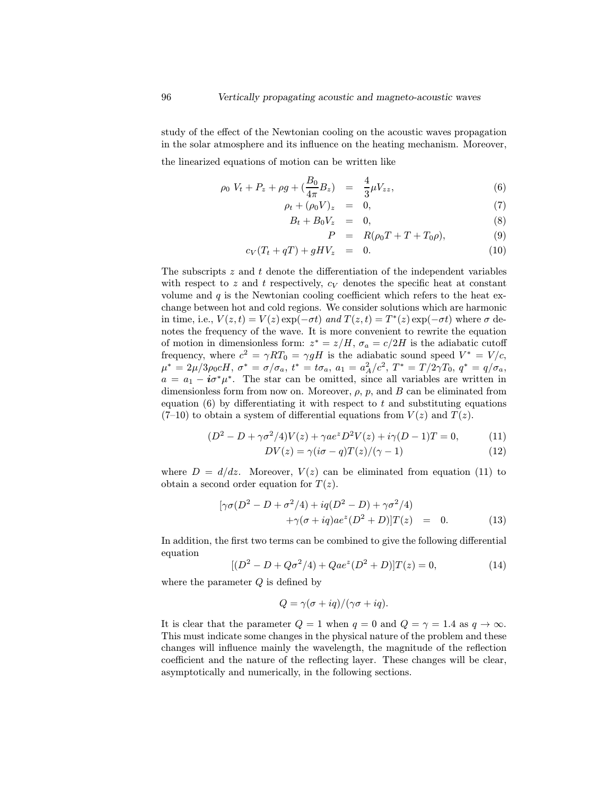study of the effect of the Newtonian cooling on the acoustic waves propagation in the solar atmosphere and its influence on the heating mechanism. Moreover,

the linearized equations of motion can be written like

$$
\rho_0 V_t + P_z + \rho g + \left(\frac{B_0}{4\pi} B_z\right) = \frac{4}{3} \mu V_{zz},\tag{6}
$$

$$
\rho_t + (\rho_0 V)_z = 0, \tag{7}
$$

$$
B_t + B_0 V_z = 0, \t\t(8)
$$

$$
P = R(\rho_0 T + T + T_0 \rho), \tag{9}
$$

$$
c_V(T_t + qT) + gHV_z = 0. \t\t(10)
$$

The subscripts  $z$  and  $t$  denote the differentiation of the independent variables with respect to z and t respectively,  $c_V$  denotes the specific heat at constant volume and  $q$  is the Newtonian cooling coefficient which refers to the heat exchange between hot and cold regions. We consider solutions which are harmonic in time, i.e.,  $V(z, t) = V(z) \exp(-\sigma t)$  and  $T(z, t) = T^*(z) \exp(-\sigma t)$  where  $\sigma$  denotes the frequency of the wave. It is more convenient to rewrite the equation of motion in dimensionless form:  $z^* = z/H$ ,  $\sigma_a = c/2H$  is the adiabatic cutoff frequency, where  $c^2 = \gamma RT_0 = \gamma gH$  is the adiabatic sound speed  $V^* = V/c$ ,  $\mu^*=2\mu/3\rho_0cH,\ \sigma^*=\sigma/\sigma_a,\ t^*=t\sigma_a,\ a_1=a_A^2/c^2,\ T^*=T/2\gamma T_0,\ q^*=q/\sigma_a,$  $a = a_1 - i\sigma^*\mu^*$ . The star can be omitted, since all variables are written in dimensionless form from now on. Moreover,  $\rho$ ,  $p$ , and  $B$  can be eliminated from equation  $(6)$  by differentiating it with respect to t and substituting equations  $(7-10)$  to obtain a system of differential equations from  $V(z)$  and  $T(z)$ .

$$
(D2 - D + \gamma \sigma2/4)V(z) + \gamma a ez D2V(z) + i\gamma (D - 1)T = 0,
$$
 (11)

$$
DV(z) = \gamma(i\sigma - q)T(z)/(\gamma - 1)
$$
\n(12)

where  $D = d/dz$ . Moreover,  $V(z)$  can be eliminated from equation (11) to obtain a second order equation for  $T(z)$ .

$$
[\gamma \sigma (D^2 - D + \sigma^2/4) + iq(D^2 - D) + \gamma \sigma^2/4) +\gamma(\sigma + iq)ae^z(D^2 + D)]T(z) = 0.
$$
 (13)

In addition, the first two terms can be combined to give the following differential equation

$$
[(D2 - D + Q\sigma2/4) + Qaez(D2 + D)]T(z) = 0,
$$
\n(14)

where the parameter  $Q$  is defined by

$$
Q = \gamma(\sigma + iq)/(\gamma\sigma + iq).
$$

It is clear that the parameter  $Q = 1$  when  $q = 0$  and  $Q = \gamma = 1.4$  as  $q \to \infty$ . This must indicate some changes in the physical nature of the problem and these changes will influence mainly the wavelength, the magnitude of the reflection coefficient and the nature of the reflecting layer. These changes will be clear, asymptotically and numerically, in the following sections.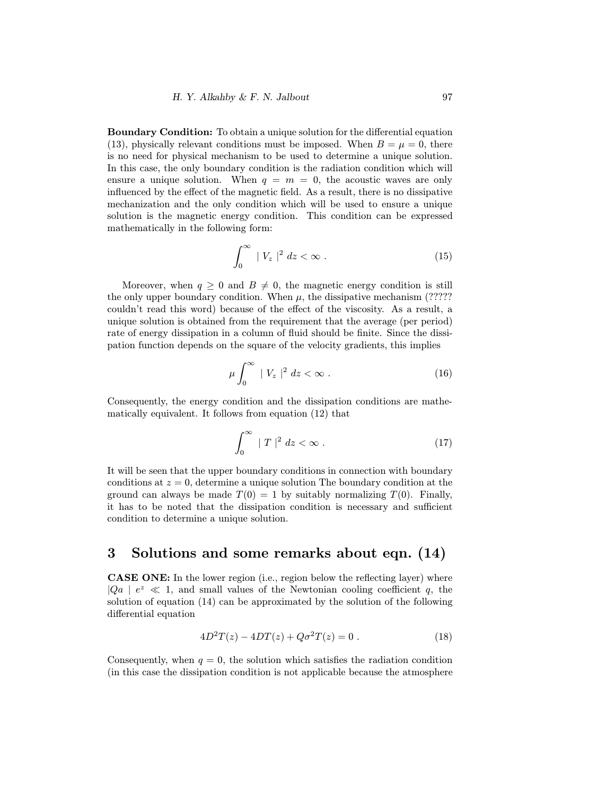Boundary Condition: To obtain a unique solution for the differential equation (13), physically relevant conditions must be imposed. When  $B = \mu = 0$ , there is no need for physical mechanism to be used to determine a unique solution. In this case, the only boundary condition is the radiation condition which will ensure a unique solution. When  $q = m = 0$ , the acoustic waves are only influenced by the effect of the magnetic field. As a result, there is no dissipative mechanization and the only condition which will be used to ensure a unique solution is the magnetic energy condition. This condition can be expressed mathematically in the following form:

$$
\int_0^\infty |V_z|^2 dz < \infty . \tag{15}
$$

Moreover, when  $q \geq 0$  and  $B \neq 0$ , the magnetic energy condition is still the only upper boundary condition. When  $\mu$ , the dissipative mechanism (????? couldn't read this word) because of the effect of the viscosity. As a result, a unique solution is obtained from the requirement that the average (per period) rate of energy dissipation in a column of fluid should be finite. Since the dissipation function depends on the square of the velocity gradients, this implies

$$
\mu \int_0^\infty |V_z|^2 dz < \infty . \tag{16}
$$

Consequently, the energy condition and the dissipation conditions are mathematically equivalent. It follows from equation (12) that

$$
\int_0^\infty |T|^2 dz < \infty . \tag{17}
$$

It will be seen that the upper boundary conditions in connection with boundary conditions at  $z = 0$ , determine a unique solution The boundary condition at the ground can always be made  $T(0) = 1$  by suitably normalizing  $T(0)$ . Finally, it has to be noted that the dissipation condition is necessary and sufficient condition to determine a unique solution.

#### 3 Solutions and some remarks about eqn. (14)

CASE ONE: In the lower region (i.e., region below the reflecting layer) where  $|Qa|$   $e^z \ll 1$ , and small values of the Newtonian cooling coefficient q, the solution of equation (14) can be approximated by the solution of the following differential equation

$$
4D^{2}T(z) - 4DT(z) + Q\sigma^{2}T(z) = 0.
$$
 (18)

Consequently, when  $q = 0$ , the solution which satisfies the radiation condition (in this case the dissipation condition is not applicable because the atmosphere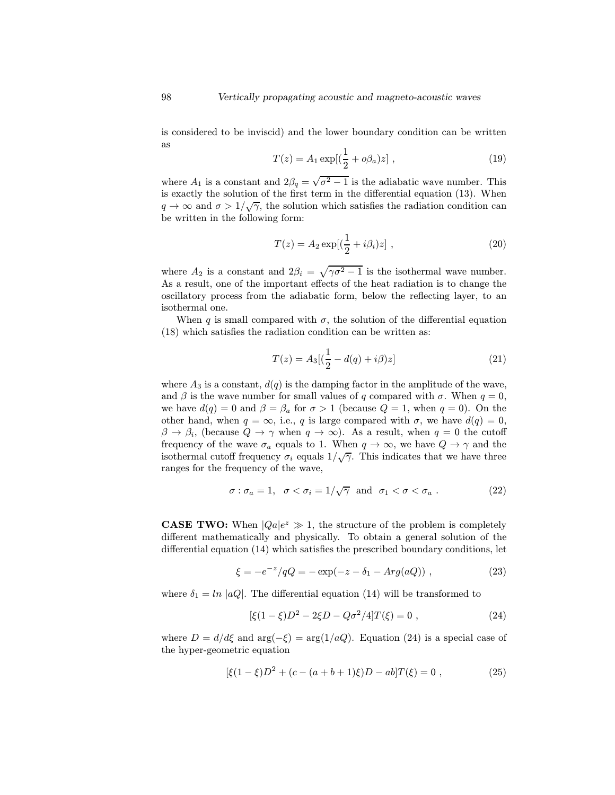is considered to be inviscid) and the lower boundary condition can be written as

$$
T(z) = A_1 \exp[(\frac{1}{2} + o\beta_a)z],
$$
\n(19)

where  $A_1$  is a constant and  $2\beta_q = \sqrt{\sigma^2 - 1}$  is the adiabatic wave number. This is exactly the solution of the first term in the differential equation (13). When  $q \to \infty$  and  $\sigma > 1/\sqrt{\gamma}$ , the solution which satisfies the radiation condition can be written in the following form:

$$
T(z) = A_2 \exp[(\frac{1}{2} + i\beta_i)z],
$$
 (20)

where  $A_2$  is a constant and  $2\beta_i = \sqrt{\gamma \sigma^2 - 1}$  is the isothermal wave number. As a result, one of the important effects of the heat radiation is to change the oscillatory process from the adiabatic form, below the reflecting layer, to an isothermal one.

When q is small compared with  $\sigma$ , the solution of the differential equation (18) which satisfies the radiation condition can be written as:

$$
T(z) = A_3[(\frac{1}{2} - d(q) + i\beta)z]
$$
 (21)

where  $A_3$  is a constant,  $d(q)$  is the damping factor in the amplitude of the wave, and  $\beta$  is the wave number for small values of q compared with  $\sigma$ . When  $q = 0$ , we have  $d(q) = 0$  and  $\beta = \beta_a$  for  $\sigma > 1$  (because  $Q = 1$ , when  $q = 0$ ). On the other hand, when  $q = \infty$ , i.e., q is large compared with  $\sigma$ , we have  $d(q) = 0$ ,  $\beta \to \beta_i$ , (because  $Q \to \gamma$  when  $q \to \infty$ ). As a result, when  $q = 0$  the cutoff frequency of the wave  $\sigma_a$  equals to 1. When  $q \to \infty$ , we have  $Q \to \gamma$  and the isothermal cutoff frequency  $\sigma_i$  equals  $1/\sqrt{\gamma}$ . This indicates that we have three ranges for the frequency of the wave,

$$
\sigma : \sigma_a = 1, \quad \sigma < \sigma_i = 1/\sqrt{\gamma} \quad \text{and} \quad \sigma_1 < \sigma < \sigma_a \; . \tag{22}
$$

**CASE TWO:** When  $|Qa|e^z \gg 1$ , the structure of the problem is completely different mathematically and physically. To obtain a general solution of the differential equation (14) which satisfies the prescribed boundary conditions, let

$$
\xi = -e^{-z}/qQ = -\exp(-z - \delta_1 - Arg(aQ)), \qquad (23)
$$

where  $\delta_1 = \ln |aQ|$ . The differential equation (14) will be transformed to

$$
[\xi(1-\xi)D^2 - 2\xi D - Q\sigma^2/4]T(\xi) = 0 , \qquad (24)
$$

where  $D = d/d\xi$  and  $\arg(-\xi) = \arg(1/aQ)$ . Equation (24) is a special case of the hyper-geometric equation

$$
[\xi(1-\xi)D^2 + (c - (a+b+1)\xi)D - ab]T(\xi) = 0,
$$
\n(25)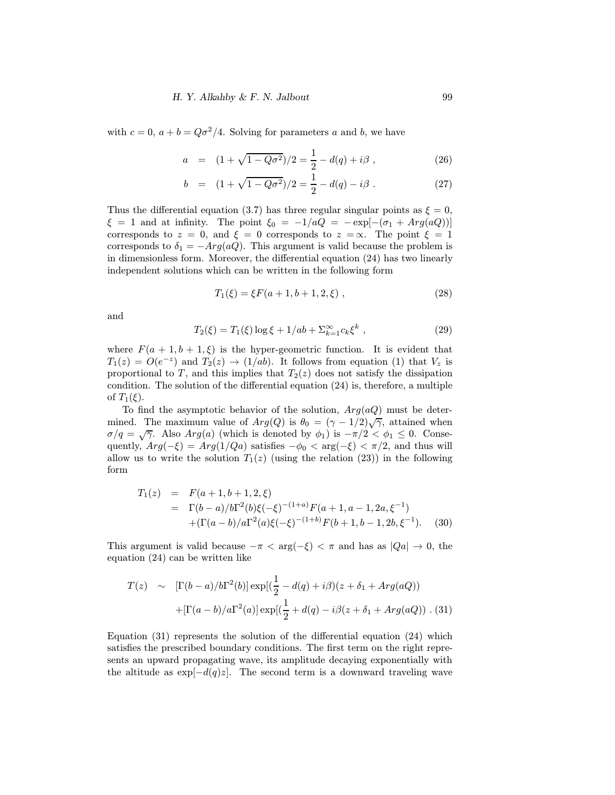with  $c = 0$ ,  $a + b = Q\sigma^2/4$ . Solving for parameters a and b, we have

$$
a = (1 + \sqrt{1 - Q\sigma^2})/2 = \frac{1}{2} - d(q) + i\beta , \qquad (26)
$$

$$
b = (1 + \sqrt{1 - Q\sigma^2})/2 = \frac{1}{2} - d(q) - i\beta.
$$
 (27)

Thus the differential equation (3.7) has three regular singular points as  $\xi = 0$ ,  $\xi = 1$  and at infinity. The point  $\xi_0 = -1/aQ = -e^{-(\sigma_1 + Arg(aQ))}$ corresponds to  $z = 0$ , and  $\xi = 0$  corresponds to  $z = \infty$ . The point  $\xi = 1$ corresponds to  $\delta_1 = -Arg(aQ)$ . This argument is valid because the problem is in dimensionless form. Moreover, the differential equation (24) has two linearly independent solutions which can be written in the following form

$$
T_1(\xi) = \xi F(a+1, b+1, 2, \xi) , \qquad (28)
$$

and

$$
T_2(\xi) = T_1(\xi) \log \xi + 1/ab + \sum_{k=1}^{\infty} c_k \xi^k , \qquad (29)
$$

where  $F(a + 1, b + 1, \xi)$  is the hyper-geometric function. It is evident that  $T_1(z) = O(e^{-z})$  and  $T_2(z) \rightarrow (1/ab)$ . It follows from equation (1) that  $V_z$  is proportional to T, and this implies that  $T_2(z)$  does not satisfy the dissipation condition. The solution of the differential equation (24) is, therefore, a multiple of  $T_1(\xi)$ .

To find the asymptotic behavior of the solution,  $Arg(aQ)$  must be determined. The maximum value of  $Arg(Q)$  is  $\theta_0 = (\gamma - 1/2)\sqrt{\gamma}$ , attained when  $\sigma/q = \sqrt{\gamma}$ . Also  $Arg(a)$  (which is denoted by  $\phi_1$ ) is  $-\pi/2 < \phi_1 \leq 0$ . Consequently,  $Arg(-\xi) = Arg(1/Qa)$  satisfies  $-\phi_0 < arg(-\xi) < \pi/2$ , and thus will allow us to write the solution  $T_1(z)$  (using the relation (23)) in the following form

$$
T_1(z) = F(a+1, b+1, 2, \xi)
$$
  
=  $\Gamma(b-a)/b\Gamma^2(b)\xi(-\xi)^{-(1+a)}F(a+1, a-1, 2a, \xi^{-1})$   
+  $( \Gamma(a-b)/a\Gamma^2(a)\xi(-\xi)^{-(1+b)}F(b+1, b-1, 2b, \xi^{-1}).$  (30)

This argument is valid because  $-\pi < \arg(-\xi) < \pi$  and has as  $|Qa| \to 0$ , the equation (24) can be written like

$$
T(z) \sim [\Gamma(b-a)/b\Gamma^{2}(b)] \exp[(\frac{1}{2} - d(q) + i\beta)(z + \delta_{1} + Arg(aQ))
$$
  
 
$$
+ [\Gamma(a-b)/a\Gamma^{2}(a)] \exp[(\frac{1}{2} + d(q) - i\beta(z + \delta_{1} + Arg(aQ)) \cdot (31)
$$

Equation (31) represents the solution of the differential equation (24) which satisfies the prescribed boundary conditions. The first term on the right represents an upward propagating wave, its amplitude decaying exponentially with the altitude as  $\exp[-d(q)z]$ . The second term is a downward traveling wave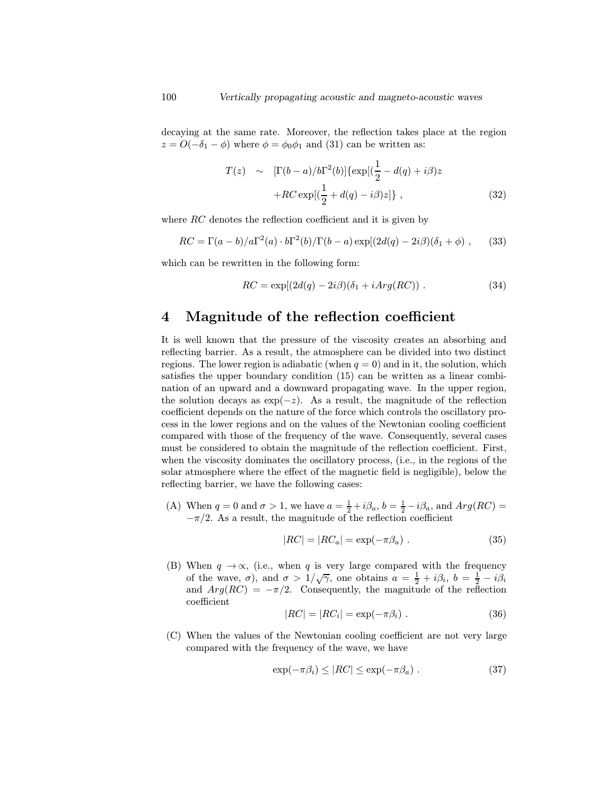decaying at the same rate. Moreover, the reflection takes place at the region  $z = O(-\delta_1 - \phi)$  where  $\phi = \phi_0 \phi_1$  and (31) can be written as:

$$
T(z) \sim [\Gamma(b-a)/b\Gamma^{2}(b)]\{\exp[(\frac{1}{2}-d(q)+i\beta)z
$$

$$
+RC\exp[(\frac{1}{2}+d(q)-i\beta)z]\}, \qquad (32)
$$

where RC denotes the reflection coefficient and it is given by

$$
RC = \Gamma(a-b)/a\Gamma^2(a) \cdot b\Gamma^2(b)/\Gamma(b-a) \exp[(2d(q) - 2i\beta)(\delta_1 + \phi) , \quad (33)
$$

which can be rewritten in the following form:

$$
RC = \exp[(2d(q) - 2i\beta)(\delta_1 + iArg(RC)). \qquad (34)
$$

#### 4 Magnitude of the reflection coefficient

It is well known that the pressure of the viscosity creates an absorbing and reflecting barrier. As a result, the atmosphere can be divided into two distinct regions. The lower region is adiabatic (when  $q = 0$ ) and in it, the solution, which satisfies the upper boundary condition (15) can be written as a linear combination of an upward and a downward propagating wave. In the upper region, the solution decays as  $\exp(-z)$ . As a result, the magnitude of the reflection coefficient depends on the nature of the force which controls the oscillatory process in the lower regions and on the values of the Newtonian cooling coefficient compared with those of the frequency of the wave. Consequently, several cases must be considered to obtain the magnitude of the reflection coefficient. First, when the viscosity dominates the oscillatory process, (i.e., in the regions of the solar atmosphere where the effect of the magnetic field is negligible), below the reflecting barrier, we have the following cases:

(A) When  $q = 0$  and  $\sigma > 1$ , we have  $a = \frac{1}{2} + i\beta_a$ ,  $b = \frac{1}{2} - i\beta_a$ , and  $Arg(RC) =$  $-\pi/2$ . As a result, the magnitude of the reflection coefficient

$$
|RC| = |RC_a| = \exp(-\pi \beta_a). \tag{35}
$$

(B) When  $q \to \infty$ , (i.e., when q is very large compared with the frequency of the wave,  $\sigma$ ), and  $\sigma > 1/\sqrt{\gamma}$ , one obtains  $a = \frac{1}{2} + i\beta_i$ ,  $b = \frac{1}{2} - i\beta_i$ and  $Arg(RC) = -\pi/2$ . Consequently, the magnitude of the reflection coefficient

$$
|RC| = |RC_i| = \exp(-\pi\beta_i) . \tag{36}
$$

(C) When the values of the Newtonian cooling coefficient are not very large compared with the frequency of the wave, we have

$$
\exp(-\pi\beta_i) \le |RC| \le \exp(-\pi\beta_a) \ . \tag{37}
$$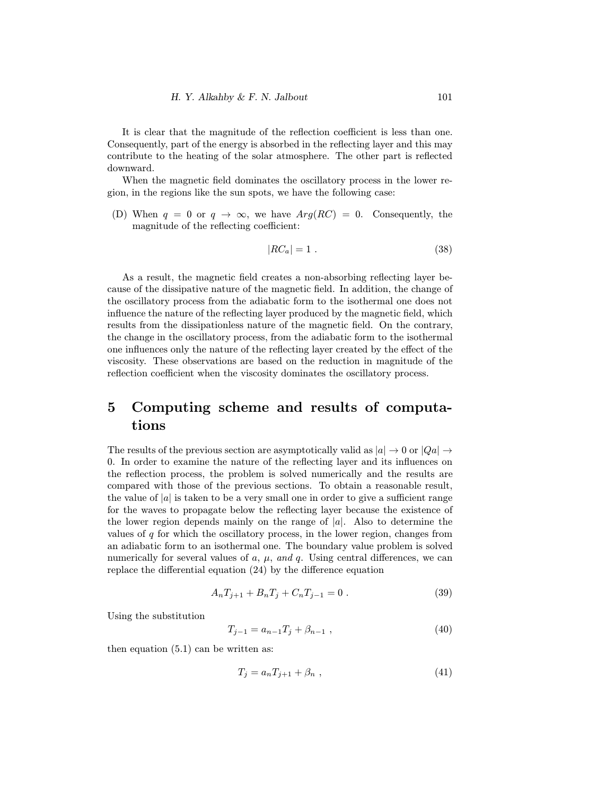It is clear that the magnitude of the reflection coefficient is less than one. Consequently, part of the energy is absorbed in the reflecting layer and this may contribute to the heating of the solar atmosphere. The other part is reflected downward.

When the magnetic field dominates the oscillatory process in the lower region, in the regions like the sun spots, we have the following case:

(D) When  $q = 0$  or  $q \to \infty$ , we have  $Arg(RC) = 0$ . Consequently, the magnitude of the reflecting coefficient:

$$
|RC_a| = 1. \t\t(38)
$$

As a result, the magnetic field creates a non-absorbing reflecting layer because of the dissipative nature of the magnetic field. In addition, the change of the oscillatory process from the adiabatic form to the isothermal one does not influence the nature of the reflecting layer produced by the magnetic field, which results from the dissipationless nature of the magnetic field. On the contrary, the change in the oscillatory process, from the adiabatic form to the isothermal one influences only the nature of the reflecting layer created by the effect of the viscosity. These observations are based on the reduction in magnitude of the reflection coefficient when the viscosity dominates the oscillatory process.

## 5 Computing scheme and results of computations

The results of the previous section are asymptotically valid as  $|a| \to 0$  or  $|Qa| \to$ 0. In order to examine the nature of the reflecting layer and its influences on the reflection process, the problem is solved numerically and the results are compared with those of the previous sections. To obtain a reasonable result, the value of  $|a|$  is taken to be a very small one in order to give a sufficient range for the waves to propagate below the reflecting layer because the existence of the lower region depends mainly on the range of  $|a|$ . Also to determine the values of  $q$  for which the oscillatory process, in the lower region, changes from an adiabatic form to an isothermal one. The boundary value problem is solved numerically for several values of  $a, \mu, and q$ . Using central differences, we can replace the differential equation (24) by the difference equation

$$
A_n T_{j+1} + B_n T_j + C_n T_{j-1} = 0.
$$
\n(39)

Using the substitution

$$
T_{j-1} = a_{n-1}T_j + \beta_{n-1} \t\t(40)
$$

then equation (5.1) can be written as:

$$
T_j = a_n T_{j+1} + \beta_n \t\t(41)
$$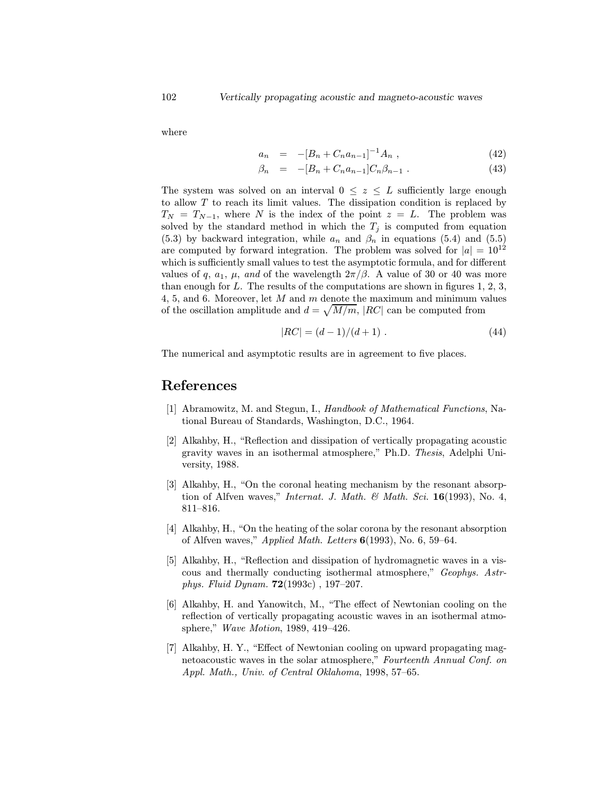where

$$
a_n = -[B_n + C_n a_{n-1}]^{-1} A_n , \qquad (42)
$$

$$
\beta_n = -[B_n + C_n a_{n-1}] C_n \beta_{n-1} . \tag{43}
$$

The system was solved on an interval  $0 \leq z \leq L$  sufficiently large enough to allow  $T$  to reach its limit values. The dissipation condition is replaced by  $T_N = T_{N-1}$ , where N is the index of the point  $z = L$ . The problem was solved by the standard method in which the  $T_j$  is computed from equation (5.3) by backward integration, while  $a_n$  and  $\beta_n$  in equations (5.4) and (5.5) are computed by forward integration. The problem was solved for  $|a| = 10^{12}$ which is sufficiently small values to test the asymptotic formula, and for different values of q,  $a_1$ ,  $\mu$ , and of the wavelength  $2\pi/\beta$ . A value of 30 or 40 was more than enough for  $L$ . The results of the computations are shown in figures 1, 2, 3, 4, 5, and 6. Moreover, let M and m denote the maximum and minimum values of the oscillation amplitude and  $d = \sqrt{M/m}$ ,  $|RC|$  can be computed from

$$
|RC| = (d-1)/(d+1) . \tag{44}
$$

The numerical and asymptotic results are in agreement to five places.

#### References

- [1] Abramowitz, M. and Stegun, I., Handbook of Mathematical Functions, National Bureau of Standards, Washington, D.C., 1964.
- [2] Alkahby, H., "Reflection and dissipation of vertically propagating acoustic gravity waves in an isothermal atmosphere," Ph.D. Thesis, Adelphi University, 1988.
- [3] Alkahby, H., "On the coronal heating mechanism by the resonant absorption of Alfven waves," Internat. J. Math. & Math. Sci.  $16(1993)$ , No. 4, 811–816.
- [4] Alkahby, H., "On the heating of the solar corona by the resonant absorption of Alfven waves," Applied Math. Letters  $6(1993)$ , No. 6, 59–64.
- [5] Alkahby, H., "Reflection and dissipation of hydromagnetic waves in a viscous and thermally conducting isothermal atmosphere," Geophys. Astrphys. Fluid Dynam. 72(1993c) , 197–207.
- [6] Alkahby, H. and Yanowitch, M., "The effect of Newtonian cooling on the reflection of vertically propagating acoustic waves in an isothermal atmosphere," Wave Motion, 1989, 419–426.
- [7] Alkahby, H. Y., "Effect of Newtonian cooling on upward propagating magnetoacoustic waves in the solar atmosphere," Fourteenth Annual Conf. on Appl. Math., Univ. of Central Oklahoma, 1998, 57–65.